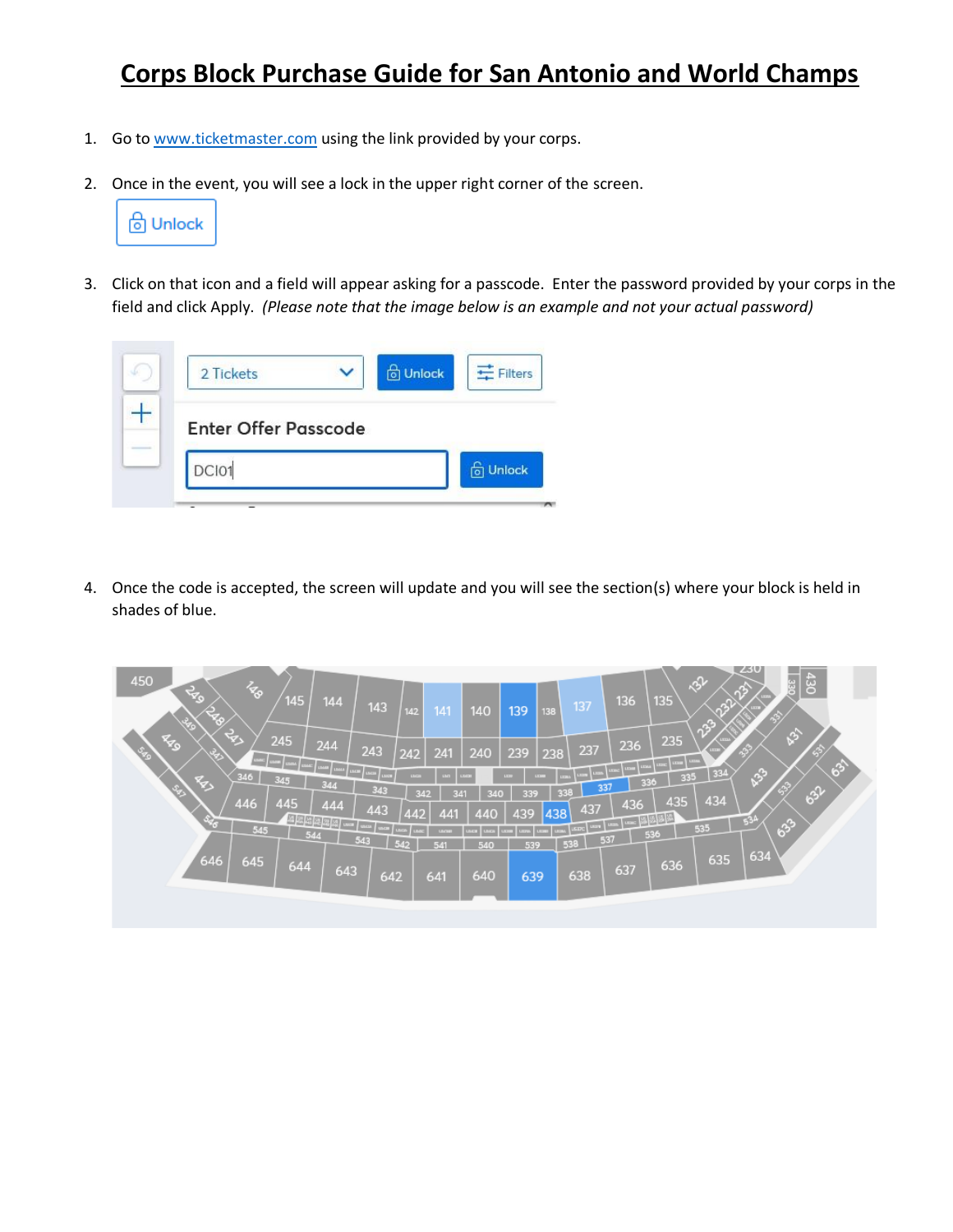## **Corps Block Purchase Guide for San Antonio and World Champs**

- 1. Go to [www.ticketmaster.com](http://www.ticketmaster.com/) using the link provided by your corps.
- 2. Once in the event, you will see a lock in the upper right corner of the screen.



3. Click on that icon and a field will appear asking for a passcode. Enter the password provided by your corps in the field and click Apply. *(Please note that the image below is an example and not your actual password)*



4. Once the code is accepted, the screen will update and you will see the section(s) where your block is held in shades of blue.